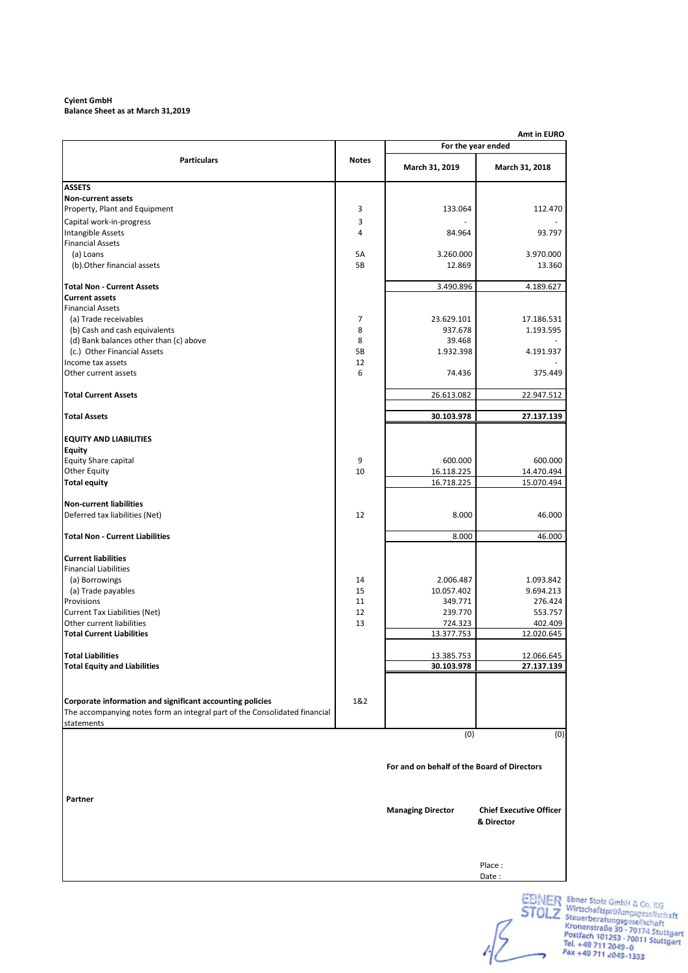### **Cyient GmbH Balance Sheet as at March 31,2019**

| Amt in EURO                                                                |              |                                             |                                              |  |
|----------------------------------------------------------------------------|--------------|---------------------------------------------|----------------------------------------------|--|
|                                                                            |              |                                             | For the year ended                           |  |
| <b>Particulars</b>                                                         | <b>Notes</b> | March 31, 2019                              | March 31, 2018                               |  |
| <b>ASSETS</b>                                                              |              |                                             |                                              |  |
| <b>Non-current assets</b>                                                  |              |                                             |                                              |  |
| Property, Plant and Equipment                                              | 3            | 133.064                                     | 112.470                                      |  |
| Capital work-in-progress                                                   | 3            |                                             |                                              |  |
| <b>Intangible Assets</b>                                                   | 4            | 84.964                                      | 93.797                                       |  |
| <b>Financial Assets</b>                                                    |              |                                             |                                              |  |
| (a) Loans                                                                  | 5A           | 3.260.000                                   | 3.970.000                                    |  |
| (b). Other financial assets                                                | 5B           | 12.869                                      | 13.360                                       |  |
| <b>Total Non - Current Assets</b>                                          |              | 3.490.896                                   | 4.189.627                                    |  |
| <b>Current assets</b>                                                      |              |                                             |                                              |  |
| <b>Financial Assets</b>                                                    |              |                                             |                                              |  |
| (a) Trade receivables                                                      | 7            | 23.629.101                                  | 17.186.531                                   |  |
| (b) Cash and cash equivalents                                              | 8            | 937.678                                     | 1.193.595                                    |  |
| (d) Bank balances other than (c) above                                     | 8            | 39.468                                      |                                              |  |
| (c.) Other Financial Assets                                                | 5B           | 1.932.398                                   | 4.191.937                                    |  |
| Income tax assets                                                          | 12           |                                             |                                              |  |
| Other current assets                                                       | 6            | 74.436                                      | 375.449                                      |  |
| <b>Total Current Assets</b>                                                |              | 26.613.082                                  | 22.947.512                                   |  |
| <b>Total Assets</b>                                                        |              | 30.103.978                                  | 27.137.139                                   |  |
|                                                                            |              |                                             |                                              |  |
| <b>EQUITY AND LIABILITIES</b>                                              |              |                                             |                                              |  |
| <b>Equity</b>                                                              |              |                                             |                                              |  |
| Equity Share capital                                                       | 9            | 600.000                                     | 600.000                                      |  |
| <b>Other Equity</b>                                                        | 10           | 16.118.225                                  | 14.470.494                                   |  |
| <b>Total equity</b>                                                        |              | 16.718.225                                  | 15.070.494                                   |  |
| <b>Non-current liabilities</b>                                             |              |                                             |                                              |  |
| Deferred tax liabilities (Net)                                             | 12           | 8.000                                       | 46.000                                       |  |
| <b>Total Non - Current Liabilities</b>                                     |              | 8.000                                       | 46.000                                       |  |
| <b>Current liabilities</b>                                                 |              |                                             |                                              |  |
| <b>Financial Liabilities</b>                                               |              |                                             |                                              |  |
| (a) Borrowings                                                             | 14           | 2.006.487                                   | 1.093.842                                    |  |
| (a) Trade payables                                                         | 15           | 10.057.402                                  | 9.694.213                                    |  |
| Provisions                                                                 | 11           | 349.771                                     | 276.424                                      |  |
| <b>Current Tax Liabilities (Net)</b>                                       | 12           | 239.770                                     | 553.757                                      |  |
| Other current liabilities                                                  | 13           | 724.323                                     | 402.409                                      |  |
| <b>Total Current Liabilities</b>                                           |              | 13.377.753                                  | 12.020.645                                   |  |
|                                                                            |              |                                             |                                              |  |
| <b>Total Liabilities</b>                                                   |              | 13.385.753                                  | 12.066.645                                   |  |
| <b>Total Equity and Liabilities</b>                                        |              | 30.103.978                                  | 27.137.139                                   |  |
|                                                                            |              |                                             |                                              |  |
| Corporate information and significant accounting policies                  | 1&2          |                                             |                                              |  |
| The accompanying notes form an integral part of the Consolidated financial |              |                                             |                                              |  |
| statements                                                                 |              |                                             |                                              |  |
|                                                                            |              | (0)                                         | (0)                                          |  |
|                                                                            |              | For and on behalf of the Board of Directors |                                              |  |
|                                                                            |              |                                             |                                              |  |
| Partner                                                                    |              |                                             |                                              |  |
|                                                                            |              | <b>Managing Director</b>                    | <b>Chief Executive Officer</b><br>& Director |  |
|                                                                            |              |                                             |                                              |  |
|                                                                            |              |                                             | Place:                                       |  |
|                                                                            |              |                                             | Date:                                        |  |
|                                                                            |              |                                             |                                              |  |

EBNER Ebner Stolz GmbH & Co. KG<br>
STOLZ Wirtschaftsprüfungsgesellschaft<br>
Kronenstraße 30 - 70174 Stuttgart<br>
Kronenstraße 30 - 70174 Stuttgart<br>
Postfach 101253 - 70011 Stuttgart<br>
Tel. +49 711 2049 - 0<br>
Fax +49 711 2049 -1333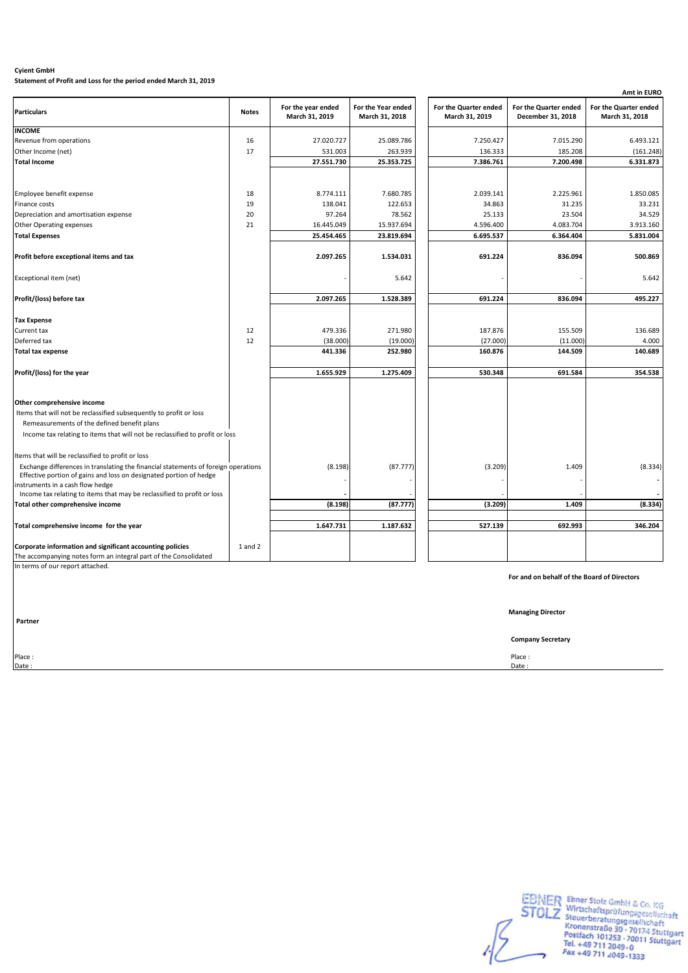**Statement of Profit and Loss for the period ended March 31, 2019**

|                                                                                    |              |                                      |                                      |                                         |                                            | Amt in EURO                             |
|------------------------------------------------------------------------------------|--------------|--------------------------------------|--------------------------------------|-----------------------------------------|--------------------------------------------|-----------------------------------------|
| <b>Particulars</b>                                                                 | <b>Notes</b> | For the year ended<br>March 31, 2019 | For the Year ended<br>March 31, 2018 | For the Quarter ended<br>March 31, 2019 | For the Quarter ended<br>December 31, 2018 | For the Quarter ended<br>March 31, 2018 |
| <b>INCOME</b>                                                                      |              |                                      |                                      |                                         |                                            |                                         |
| Revenue from operations                                                            | 16           | 27.020.727                           | 25.089.786                           | 7.250.427                               | 7.015.290                                  | 6.493.121                               |
| Other Income (net)                                                                 | 17           | 531.003                              | 263.939                              | 136.333                                 | 185.208                                    | (161.248)                               |
| <b>Total Income</b>                                                                |              | 27.551.730                           | 25.353.725                           | 7.386.761                               | 7.200.498                                  | 6.331.873                               |
|                                                                                    |              |                                      |                                      |                                         |                                            |                                         |
| Employee benefit expense                                                           | 18           | 8.774.111                            | 7.680.785                            | 2.039.141                               | 2.225.961                                  | 1.850.085                               |
| Finance costs                                                                      | 19           | 138.041                              | 122.653                              | 34.863                                  | 31.235                                     | 33.231                                  |
| Depreciation and amortisation expense                                              | 20           | 97.264                               | 78.562                               | 25.133                                  | 23.504                                     | 34.529                                  |
| Other Operating expenses                                                           | 21           | 16.445.049                           | 15.937.694                           | 4.596.400                               | 4.083.704                                  | 3.913.160                               |
| <b>Total Expenses</b>                                                              |              | 25.454.465                           | 23.819.694                           | 6.695.537                               | 6.364.404                                  | 5.831.004                               |
| Profit before exceptional items and tax                                            |              | 2.097.265                            | 1.534.031                            | 691.224                                 | 836.094                                    | 500.869                                 |
| Exceptional item (net)                                                             |              |                                      | 5.642                                |                                         |                                            | 5.642                                   |
| Profit/(loss) before tax                                                           |              | 2.097.265                            | 1.528.389                            | 691.224                                 | 836.094                                    | 495.227                                 |
|                                                                                    |              |                                      |                                      |                                         |                                            |                                         |
| <b>Tax Expense</b>                                                                 |              |                                      |                                      |                                         |                                            |                                         |
| Current tax                                                                        | 12           | 479.336                              | 271.980                              | 187.876                                 | 155.509                                    | 136.689                                 |
| Deferred tax                                                                       | 12           | (38.000)                             | (19.000)                             | (27.000)                                | (11.000)                                   | 4.000                                   |
| <b>Total tax expense</b>                                                           |              | 441.336                              | 252.980                              | 160.876                                 | 144.509                                    | 140.689                                 |
| Profit/(loss) for the year                                                         |              | 1.655.929                            | 1.275.409                            | 530.348                                 | 691.584                                    | 354.538                                 |
| Other comprehensive income                                                         |              |                                      |                                      |                                         |                                            |                                         |
| Items that will not be reclassified subsequently to profit or loss                 |              |                                      |                                      |                                         |                                            |                                         |
| Remeasurements of the defined benefit plans                                        |              |                                      |                                      |                                         |                                            |                                         |
| Income tax relating to items that will not be reclassified to profit or loss       |              |                                      |                                      |                                         |                                            |                                         |
|                                                                                    |              |                                      |                                      |                                         |                                            |                                         |
| Items that will be reclassified to profit or loss                                  |              |                                      |                                      |                                         |                                            |                                         |
| Exchange differences in translating the financial statements of foreign operations |              | (8.198)                              | (87.777)                             | (3.209)                                 | 1.409                                      | (8.334)                                 |
| Effective portion of gains and loss on designated portion of hedge                 |              |                                      |                                      |                                         |                                            |                                         |
| instruments in a cash flow hedge                                                   |              |                                      |                                      |                                         |                                            |                                         |
| Income tax relating to items that may be reclassified to profit or loss            |              |                                      |                                      |                                         |                                            |                                         |
| Total other comprehensive income                                                   |              | (8.198)                              | (87.777)                             | (3.209)                                 | 1.409                                      | (8.334)                                 |
| Total comprehensive income for the year                                            |              | 1.647.731                            | 1.187.632                            | 527.139                                 | 692.993                                    | 346.204                                 |
|                                                                                    |              |                                      |                                      |                                         |                                            |                                         |
| Corporate information and significant accounting policies                          | 1 and 2      |                                      |                                      |                                         |                                            |                                         |
| The accompanying notes form an integral part of the Consolidated                   |              |                                      |                                      |                                         |                                            |                                         |

In terms of our report attached.

 **Partner**

**For and on behalf of the Board of Directors**

**Managing Director**

**Company Secretary**

Place : Place : Date : Date :

EBNER Ebner Stolz GmbH & Co. KG<br>
STOLZ Wirtschaftsprüfungsgesellschaft<br>
Kronenstraße 30 - 70174 Stuttgart<br>
Kronenstraße 30 - 70174 Stuttgart<br>
Postfach 101253 - 70011 Stuttgart<br>
Tel. +49 711 2049 - 0<br>
Fax +49 711 2049 - 133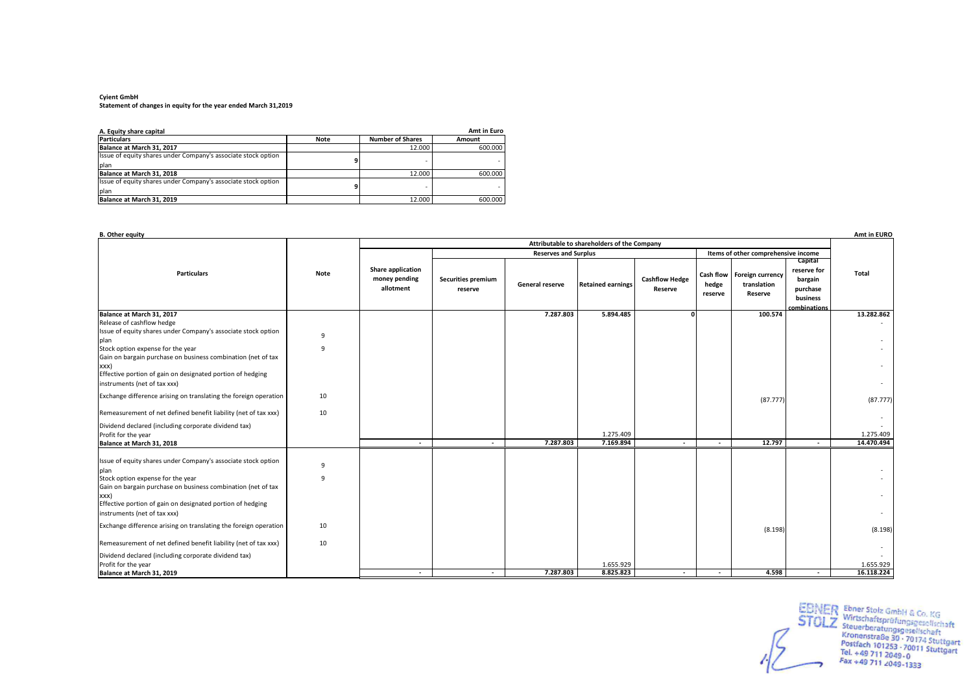#### **Cyient GmbH Statement of changes in equity for the year ended March 31,2019**

| A. Equity share capital                                       |             |                         | Amt in Euro |
|---------------------------------------------------------------|-------------|-------------------------|-------------|
| <b>Particulars</b>                                            | <b>Note</b> | <b>Number of Shares</b> | Amount      |
| Balance at March 31, 2017                                     |             | 12.000                  | 600.000     |
| Issue of equity shares under Company's associate stock option |             |                         |             |
| plan                                                          |             |                         |             |
| Balance at March 31, 2018                                     |             | 12.000                  | 600.000     |
| Issue of equity shares under Company's associate stock option |             |                         |             |
| plan                                                          |             |                         |             |
| Balance at March 31, 2019                                     |             | 12.000                  | 600.000     |

| <b>B.</b> Other equity                                                                                                                                             |        |                                                 |                               |                             |                                             |                                  |                  |                                                        |                                                                           | Amt in EURO             |
|--------------------------------------------------------------------------------------------------------------------------------------------------------------------|--------|-------------------------------------------------|-------------------------------|-----------------------------|---------------------------------------------|----------------------------------|------------------|--------------------------------------------------------|---------------------------------------------------------------------------|-------------------------|
|                                                                                                                                                                    |        |                                                 |                               |                             | Attributable to shareholders of the Company |                                  |                  |                                                        |                                                                           |                         |
|                                                                                                                                                                    |        |                                                 |                               | <b>Reserves and Surplus</b> |                                             |                                  |                  | Items of other comprehensive income                    |                                                                           |                         |
| <b>Particulars</b>                                                                                                                                                 | Note   | Share application<br>money pending<br>allotment | Securities premium<br>reserve | General reserve             | <b>Retained earnings</b>                    | <b>Cashflow Hedge</b><br>Reserve | hedge<br>reserve | Cash flow   Foreign currency<br>translation<br>Reserve | Capital<br>reserve for<br>bargain<br>purchase<br>business<br>combinations | Total                   |
| Balance at March 31, 2017                                                                                                                                          |        |                                                 |                               | 7.287.803                   | 5.894.485                                   | <sub>n</sub>                     |                  | 100.574                                                |                                                                           | 13.282.862              |
| Release of cashflow hedge                                                                                                                                          |        |                                                 |                               |                             |                                             |                                  |                  |                                                        |                                                                           |                         |
| Issue of equity shares under Company's associate stock option<br>plan                                                                                              | 9      |                                                 |                               |                             |                                             |                                  |                  |                                                        |                                                                           |                         |
| Stock option expense for the year<br>Gain on bargain purchase on business combination (net of tax<br>XXX)                                                          | 9      |                                                 |                               |                             |                                             |                                  |                  |                                                        |                                                                           |                         |
| Effective portion of gain on designated portion of hedging<br>instruments (net of tax xxx)                                                                         |        |                                                 |                               |                             |                                             |                                  |                  |                                                        |                                                                           |                         |
| Exchange difference arising on translating the foreign operation                                                                                                   | 10     |                                                 |                               |                             |                                             |                                  |                  | (87.777)                                               |                                                                           | (87.777)                |
| Remeasurement of net defined benefit liability (net of tax xxx)                                                                                                    | 10     |                                                 |                               |                             |                                             |                                  |                  |                                                        |                                                                           |                         |
| Dividend declared (including corporate dividend tax)<br>Profit for the year                                                                                        |        |                                                 |                               |                             | 1.275.409                                   |                                  |                  |                                                        |                                                                           | 1.275.409               |
| Balance at March 31, 2018                                                                                                                                          |        | $\sim$                                          | $\sim$                        | 7.287.803                   | 7.169.894                                   | $\sim$                           | $\sim$           | 12.797                                                 | $\sim$                                                                    | 14.470.494              |
| Issue of equity shares under Company's associate stock option<br>plan<br>Stock option expense for the year                                                         | 9<br>9 |                                                 |                               |                             |                                             |                                  |                  |                                                        |                                                                           |                         |
| Gain on bargain purchase on business combination (net of tax<br>XXX)<br>Effective portion of gain on designated portion of hedging<br>instruments (net of tax xxx) |        |                                                 |                               |                             |                                             |                                  |                  |                                                        |                                                                           |                         |
| Exchange difference arising on translating the foreign operation                                                                                                   | 10     |                                                 |                               |                             |                                             |                                  |                  | (8.198)                                                |                                                                           | (8.198)                 |
| Remeasurement of net defined benefit liability (net of tax xxx)                                                                                                    | 10     |                                                 |                               |                             |                                             |                                  |                  |                                                        |                                                                           |                         |
| Dividend declared (including corporate dividend tax)<br>Profit for the year<br>Balance at March 31, 2019                                                           |        | $\sim$                                          | $\sim$                        | 7.287.803                   | 1.655.929<br>8.825.823                      | $\sim$                           | $\sim$           | 4.598                                                  | $\sim$                                                                    | 1.655.929<br>16.118.224 |

EBNER Ebner Stolz GmbH & Co. KG<br>
STOLZ Steuerberatungsgesellschaft<br>
Kronenstraße 30 - 70174 Stuttgart<br>
Postfach 101253 - 70011 Stuttgart<br>
Tel. +49 711 2049-0<br>
Fax +49 711 2049-1333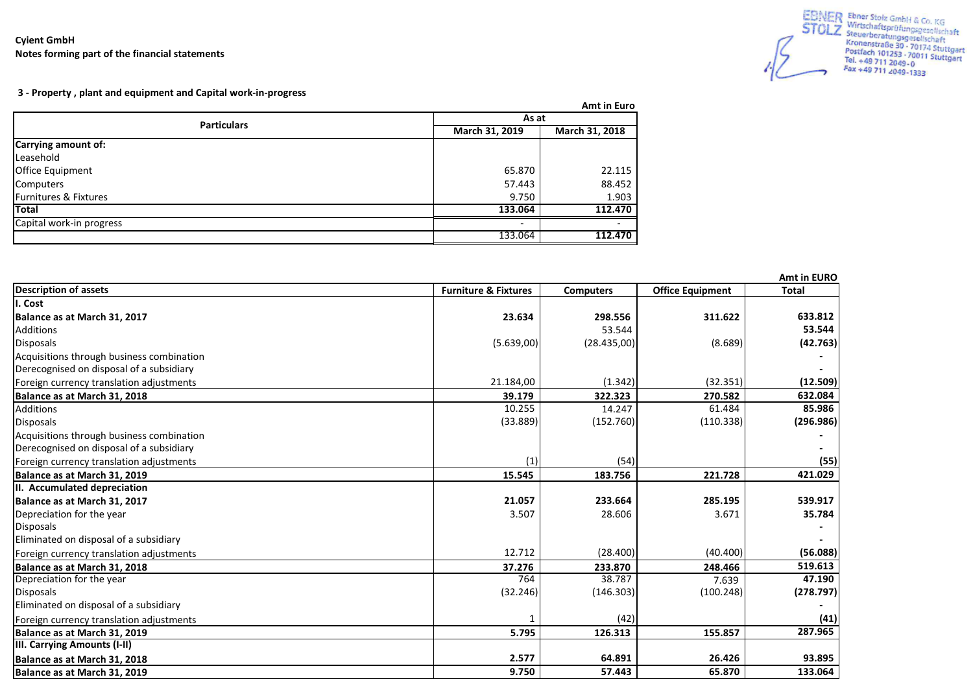Mahindra & Mahindra Limited (Consolidated) **Cyient GmbH Notes forming part of the financial statements**



 **3 - Property , plant and equipment and Capital work-in-progress**

|                          |                | Amt in Euro    |  |  |
|--------------------------|----------------|----------------|--|--|
| <b>Particulars</b>       | As at          |                |  |  |
|                          | March 31, 2019 | March 31, 2018 |  |  |
| Carrying amount of:      |                |                |  |  |
| Leasehold                |                |                |  |  |
| Office Equipment         | 65.870         | 22.115         |  |  |
| Computers                | 57.443         | 88.452         |  |  |
| Furnitures & Fixtures    | 9.750          | 1.903          |  |  |
| <b>Total</b>             | 133.064        | 112.470        |  |  |
| Capital work-in progress |                |                |  |  |
|                          | 133.064        | 112.470        |  |  |

|                                           |                                 |                  |                         | Amt in EURO  |
|-------------------------------------------|---------------------------------|------------------|-------------------------|--------------|
| <b>Description of assets</b>              | <b>Furniture &amp; Fixtures</b> | <b>Computers</b> | <b>Office Equipment</b> | <b>Total</b> |
| I. Cost                                   |                                 |                  |                         |              |
| Balance as at March 31, 2017              | 23.634                          | 298.556          | 311.622                 | 633.812      |
| <b>Additions</b>                          |                                 | 53.544           |                         | 53.544       |
| <b>Disposals</b>                          | (5.639,00)                      | (28.435,00)      | (8.689)                 | (42.763)     |
| Acquisitions through business combination |                                 |                  |                         |              |
| Derecognised on disposal of a subsidiary  |                                 |                  |                         |              |
| Foreign currency translation adjustments  | 21.184,00                       | (1.342)          | (32.351)                | (12.509)     |
| Balance as at March 31, 2018              | 39.179                          | 322.323          | 270.582                 | 632.084      |
| <b>Additions</b>                          | 10.255                          | 14.247           | 61.484                  | 85.986       |
| <b>Disposals</b>                          | (33.889)                        | (152.760)        | (110.338)               | (296.986)    |
| Acquisitions through business combination |                                 |                  |                         |              |
| Derecognised on disposal of a subsidiary  |                                 |                  |                         |              |
| Foreign currency translation adjustments  | (1)                             | (54)             |                         | (55)         |
| Balance as at March 31, 2019              | 15.545                          | 183.756          | 221.728                 | 421.029      |
| II. Accumulated depreciation              |                                 |                  |                         |              |
| Balance as at March 31, 2017              | 21.057                          | 233.664          | 285.195                 | 539.917      |
| Depreciation for the year                 | 3.507                           | 28.606           | 3.671                   | 35.784       |
| <b>Disposals</b>                          |                                 |                  |                         |              |
| Eliminated on disposal of a subsidiary    |                                 |                  |                         |              |
| Foreign currency translation adjustments  | 12.712                          | (28.400)         | (40.400)                | (56.088)     |
| Balance as at March 31, 2018              | 37.276                          | 233.870          | 248.466                 | 519.613      |
| Depreciation for the year                 | 764                             | 38.787           | 7.639                   | 47.190       |
| <b>Disposals</b>                          | (32.246)                        | (146.303)        | (100.248)               | (278.797)    |
| Eliminated on disposal of a subsidiary    |                                 |                  |                         |              |
| Foreign currency translation adjustments  |                                 | (42)             |                         | (41)         |
| Balance as at March 31, 2019              | 5.795                           | 126.313          | 155.857                 | 287.965      |
| III. Carrying Amounts (I-II)              |                                 |                  |                         |              |
| Balance as at March 31, 2018              | 2.577                           | 64.891           | 26.426                  | 93.895       |
| Balance as at March 31, 2019              | 9.750                           | 57.443           | 65.870                  | 133.064      |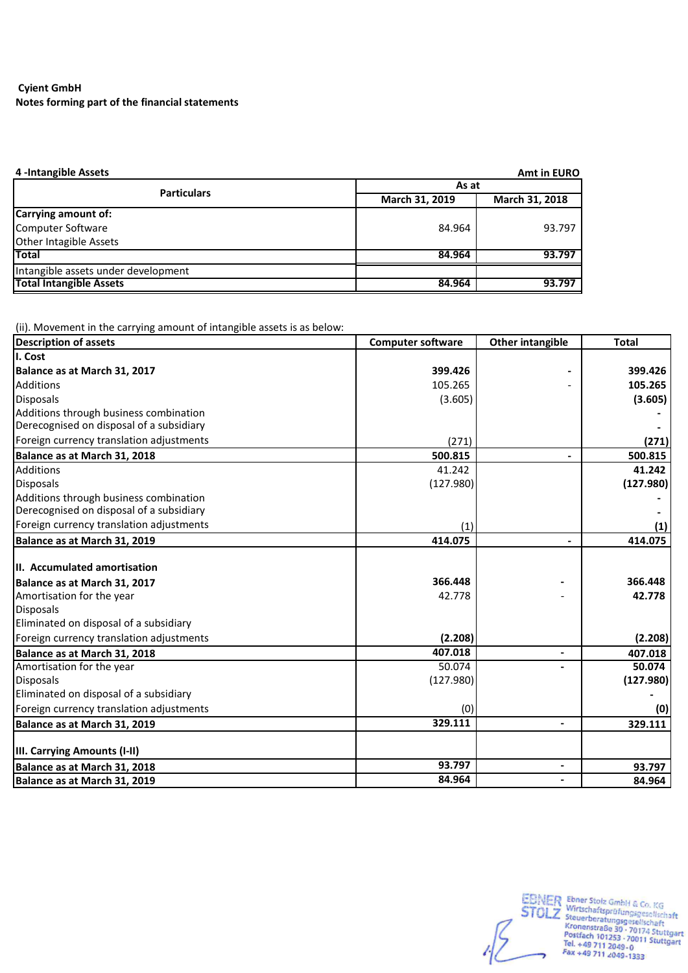# **Notes forming part of the financial statements Cyient GmbH**

| 4-Intangible Assets                 |                | <b>Amt in EURO</b> |
|-------------------------------------|----------------|--------------------|
| <b>Particulars</b>                  | As at          |                    |
|                                     | March 31, 2019 | March 31, 2018     |
| Carrying amount of:                 |                |                    |
| Computer Software                   | 84.964         | 93.797             |
| Other Intagible Assets              |                |                    |
| <b>Total</b>                        | 84.964         | 93.797             |
| Intangible assets under development |                |                    |
| <b>Total Intangible Assets</b>      | 84.964         | 93.797             |

(ii). Movement in the carrying amount of intangible assets is as below:

| <b>Description of assets</b>                                                       | <b>Computer software</b> | <b>Other intangible</b>  | <b>Total</b> |
|------------------------------------------------------------------------------------|--------------------------|--------------------------|--------------|
| I. Cost                                                                            |                          |                          |              |
| Balance as at March 31, 2017                                                       | 399.426                  |                          | 399.426      |
| <b>Additions</b>                                                                   | 105.265                  |                          | 105.265      |
| <b>Disposals</b>                                                                   | (3.605)                  |                          | (3.605)      |
| Additions through business combination<br>Derecognised on disposal of a subsidiary |                          |                          |              |
| Foreign currency translation adjustments                                           | (271)                    |                          | (271)        |
| Balance as at March 31, 2018                                                       | 500.815                  |                          | 500.815      |
| <b>Additions</b>                                                                   | 41.242                   |                          | 41.242       |
| <b>Disposals</b>                                                                   | (127.980)                |                          | (127.980)    |
| Additions through business combination<br>Derecognised on disposal of a subsidiary |                          |                          |              |
| Foreign currency translation adjustments                                           | (1)                      |                          | (1)          |
| Balance as at March 31, 2019                                                       | 414.075                  |                          | 414.075      |
| II. Accumulated amortisation<br>Balance as at March 31, 2017                       | 366.448                  |                          | 366.448      |
| Amortisation for the year                                                          | 42.778                   |                          | 42.778       |
| <b>Disposals</b><br>Eliminated on disposal of a subsidiary                         |                          |                          |              |
| Foreign currency translation adjustments                                           | (2.208)                  |                          | (2.208)      |
| Balance as at March 31, 2018                                                       | 407.018                  | $\overline{\phantom{0}}$ | 407.018      |
| Amortisation for the year                                                          | 50.074                   |                          | 50.074       |
| <b>Disposals</b>                                                                   | (127.980)                |                          | (127.980)    |
| Eliminated on disposal of a subsidiary                                             |                          |                          |              |
| Foreign currency translation adjustments                                           | (0)                      |                          | (0)          |
| Balance as at March 31, 2019                                                       | 329.111                  | $\overline{\phantom{0}}$ | 329.111      |
| III. Carrying Amounts (I-II)                                                       |                          |                          |              |
| Balance as at March 31, 2018                                                       | 93.797                   | $\overline{\phantom{a}}$ | 93.797       |
| Balance as at March 31, 2019                                                       | 84.964                   |                          | 84.964       |

EBNER Ebner Stolz GmbH & Co. KG<br>
STOLZ Wirtschaftsprüfungsgesellschaft<br>
Kronenstraße 30 - 70174 Stuttgart<br>
Kronenstraße 30 - 70174 Stuttgart<br>
Postfach 101253 - 70011 Stuttgart<br>
Tel. +49 711 2049 - 0<br>
Fax +49 711 2049 -1333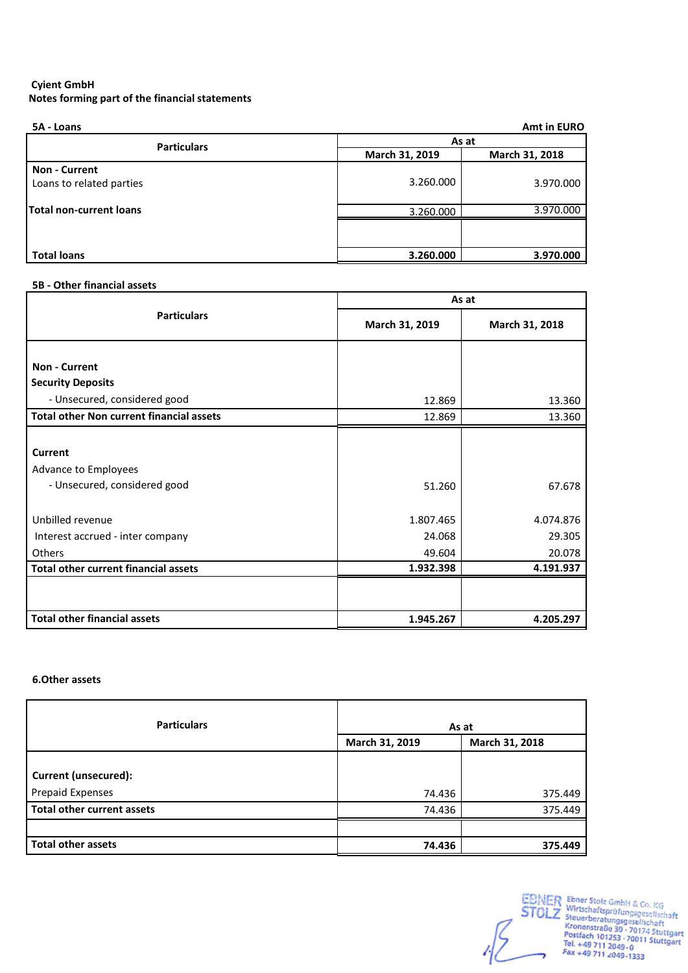| 5A - Loans                                       |                | <b>Amt in EURO</b> |
|--------------------------------------------------|----------------|--------------------|
| <b>Particulars</b>                               | As at          |                    |
|                                                  | March 31, 2019 | March 31, 2018     |
| <b>Non - Current</b><br>Loans to related parties | 3.260.000      | 3.970.000          |
| Total non-current loans                          | 3.260.000      | 3.970.000          |
|                                                  |                |                    |
| <b>Total loans</b>                               | 3.260.000      | 3.970.000          |

# **5B - Other financial assets**

|                                                  |                | As at          |
|--------------------------------------------------|----------------|----------------|
| <b>Particulars</b>                               | March 31, 2019 | March 31, 2018 |
| <b>Non - Current</b><br><b>Security Deposits</b> |                |                |
| - Unsecured, considered good                     | 12.869         | 13.360         |
| <b>Total other Non current financial assets</b>  | 12.869         | 13.360         |
|                                                  |                |                |
| <b>Current</b>                                   |                |                |
| Advance to Employees                             |                |                |
| - Unsecured, considered good                     | 51.260         | 67.678         |
| Unbilled revenue                                 | 1.807.465      | 4.074.876      |
| Interest accrued - inter company                 | 24.068         | 29.305         |
| Others                                           | 49.604         | 20.078         |
| <b>Total other current financial assets</b>      | 1.932.398      | 4.191.937      |
|                                                  |                |                |
| <b>Total other financial assets</b>              | 1.945.267      | 4.205.297      |

# **6.Other assets**

| <b>Particulars</b>                | As at          |                |  |
|-----------------------------------|----------------|----------------|--|
|                                   | March 31, 2019 | March 31, 2018 |  |
|                                   |                |                |  |
| <b>Current (unsecured):</b>       |                |                |  |
| <b>Prepaid Expenses</b>           | 74.436         | 375.449        |  |
| <b>Total other current assets</b> | 74.436         | 375.449        |  |
|                                   |                |                |  |
| <b>Total other assets</b>         | 74.436         | 375.449        |  |

EBNER Ebner Stolz GmbH & Co. KG<br>
STOLZ Wirtschaftsprüfungsgesellschaft<br>
Kronenstraße 30 - 70174 Stuttgart<br>
Kronenstraße 30 - 70174 Stuttgart<br>
Postfach 101253 - 70011 Stuttgart<br>
Tel. +49 711 2049 - 0<br>
Fax +49 711 2049 - 133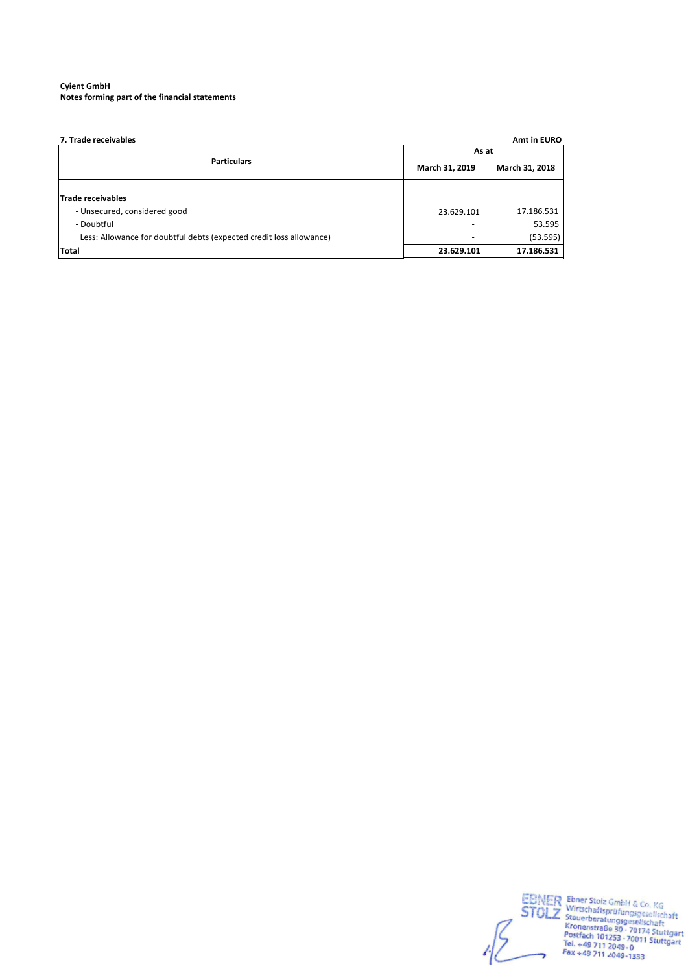| 7. Trade receivables                                                                |                | Amt in EURO            |  |
|-------------------------------------------------------------------------------------|----------------|------------------------|--|
|                                                                                     | As at          |                        |  |
| <b>Particulars</b>                                                                  | March 31, 2019 | March 31, 2018         |  |
| Trade receivables<br>- Unsecured, considered good                                   | 23.629.101     | 17.186.531             |  |
| - Doubtful                                                                          |                | 53.595                 |  |
| Less: Allowance for doubtful debts (expected credit loss allowance)<br><b>Total</b> | 23.629.101     | (53.595)<br>17.186.531 |  |

EBNER Ebner Stolz GmbH & Co. KG<br>
STOLZ Wirtschaftsprüfungsgesellschaft<br>
Kronenstraße 30 - 70174 Stuttgart<br>
Kronenstraße 30 - 70174 Stuttgart<br>
Postfach 101253 - 70011 Stuttgart<br>
Tel. +49 711 2049 - 0<br>
Fax +49 711 2049 -1333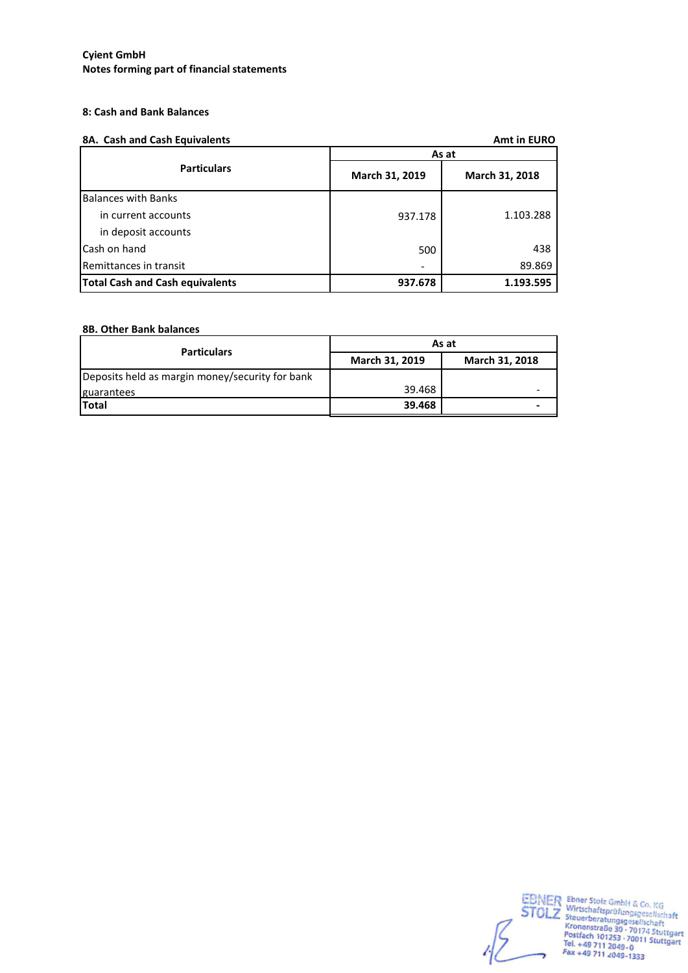# **8: Cash and Bank Balances**

|  |  |  | 8A. Cash and Cash Equivalents |  |  |  |
|--|--|--|-------------------------------|--|--|--|
|--|--|--|-------------------------------|--|--|--|

| 8A. Cash and Cash Equivalents          |                | <b>Amt in EURO</b> |
|----------------------------------------|----------------|--------------------|
|                                        |                | As at              |
| <b>Particulars</b>                     | March 31, 2019 | March 31, 2018     |
| <b>Balances with Banks</b>             |                |                    |
| in current accounts                    | 937.178        | 1.103.288          |
| in deposit accounts                    |                |                    |
| Cash on hand                           | 500            | 438                |
| Remittances in transit                 |                | 89.869             |
| <b>Total Cash and Cash equivalents</b> | 937.678        | 1.193.595          |

# **8B. Other Bank balances**

| <b>Particulars</b>                              | As at          |                |  |  |
|-------------------------------------------------|----------------|----------------|--|--|
|                                                 | March 31, 2019 | March 31, 2018 |  |  |
| Deposits held as margin money/security for bank |                |                |  |  |
| guarantees                                      | 39.468         |                |  |  |
| Total                                           | 39.468         |                |  |  |

EBNER Ebner Stolz GmbH & Co. KG<br>
STOLZ Wirtschaftsprüfungsgesellschaft<br>
Kronenstraße 30 - 70174 Stuttgart<br>
Kronenstraße 30 - 70174 Stuttgart<br>
Postfach 101253 - 70011 Stuttgart<br>
Tel. +49 711 2049 - 0<br>
Fax +49 711 2049 - 133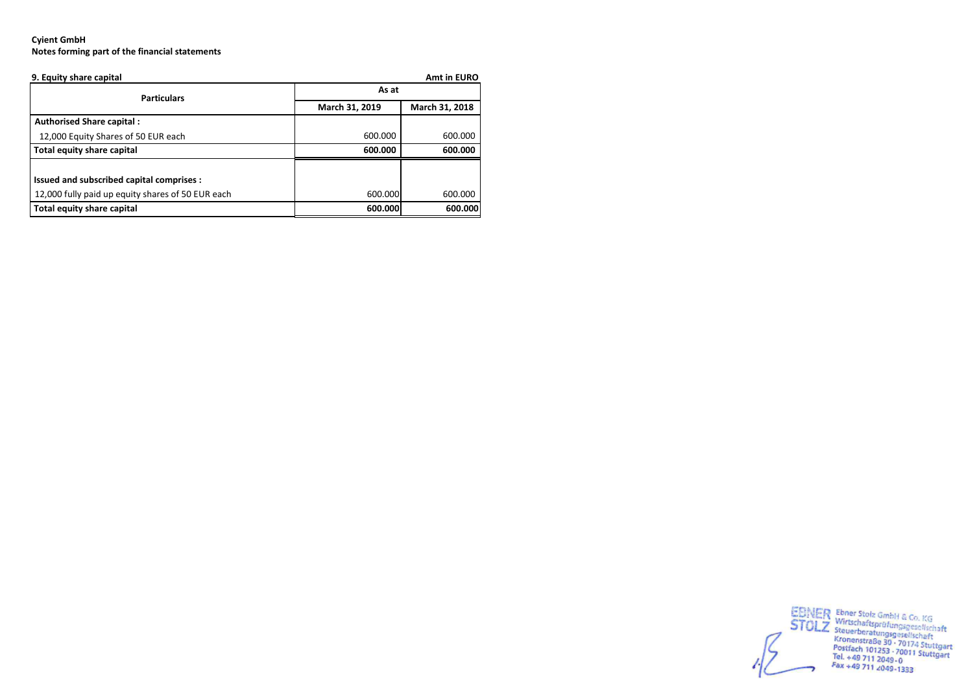| 9. Equity share capital                           | Amt in EURO    |                |  |  |
|---------------------------------------------------|----------------|----------------|--|--|
| <b>Particulars</b>                                | As at          |                |  |  |
|                                                   | March 31, 2019 | March 31, 2018 |  |  |
| <b>Authorised Share capital:</b>                  |                |                |  |  |
| 12,000 Equity Shares of 50 EUR each               | 600.000        | 600.000        |  |  |
| Total equity share capital                        | 600.000        | 600.000        |  |  |
|                                                   |                |                |  |  |
| Issued and subscribed capital comprises :         |                |                |  |  |
| 12,000 fully paid up equity shares of 50 EUR each | 600.000        | 600.000        |  |  |
| Total equity share capital                        | 600.000        | 600.000        |  |  |



EBINER Ebner Stolz GmbH & Co. KG<br>
STOLZ Steuerberatungsgesellschaft<br>
Kronenstraße 30 · 70174 Stuttgart<br>
Kronenstraße 30 · 70174 Stuttgart<br>
Postfach 101253 · 70011 Stuttgart<br>
Tel. +49 711 2049-0<br>
Fax +49 711 2049-1333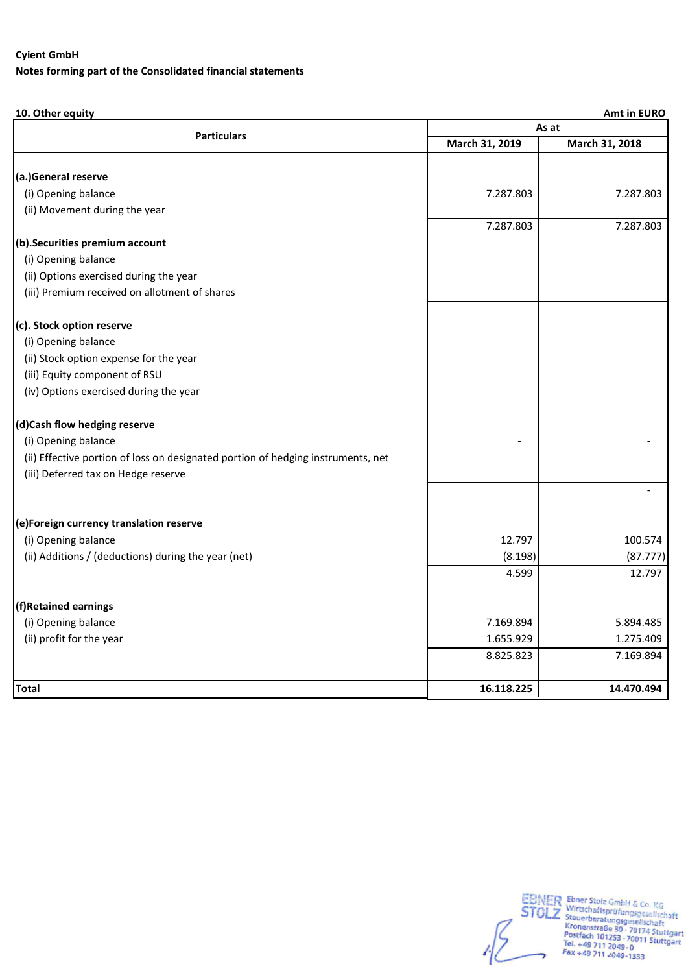# **Notes forming part of the Consolidated financial statements**

# **10. Other equity Amt in EURO**

|                                                                                  | As at          |                |  |  |
|----------------------------------------------------------------------------------|----------------|----------------|--|--|
| <b>Particulars</b>                                                               | March 31, 2019 | March 31, 2018 |  |  |
| (a.)General reserve                                                              |                |                |  |  |
| (i) Opening balance                                                              | 7.287.803      | 7.287.803      |  |  |
|                                                                                  |                |                |  |  |
| (ii) Movement during the year                                                    | 7.287.803      | 7.287.803      |  |  |
| (b). Securities premium account                                                  |                |                |  |  |
| (i) Opening balance                                                              |                |                |  |  |
| (ii) Options exercised during the year                                           |                |                |  |  |
| (iii) Premium received on allotment of shares                                    |                |                |  |  |
|                                                                                  |                |                |  |  |
| (c). Stock option reserve                                                        |                |                |  |  |
| (i) Opening balance                                                              |                |                |  |  |
| (ii) Stock option expense for the year                                           |                |                |  |  |
| (iii) Equity component of RSU                                                    |                |                |  |  |
| (iv) Options exercised during the year                                           |                |                |  |  |
| (d)Cash flow hedging reserve                                                     |                |                |  |  |
| (i) Opening balance                                                              |                |                |  |  |
| (ii) Effective portion of loss on designated portion of hedging instruments, net |                |                |  |  |
| (iii) Deferred tax on Hedge reserve                                              |                |                |  |  |
|                                                                                  |                |                |  |  |
| (e)Foreign currency translation reserve                                          |                |                |  |  |
| (i) Opening balance                                                              | 12.797         | 100.574        |  |  |
| (ii) Additions / (deductions) during the year (net)                              | (8.198)        | (87.777)       |  |  |
|                                                                                  | 4.599          | 12.797         |  |  |
| (f)Retained earnings                                                             |                |                |  |  |
| (i) Opening balance                                                              | 7.169.894      | 5.894.485      |  |  |
| (ii) profit for the year                                                         | 1.655.929      | 1.275.409      |  |  |
|                                                                                  | 8.825.823      | 7.169.894      |  |  |
| <b>Total</b>                                                                     | 16.118.225     | 14.470.494     |  |  |

EBNER Ebner Stolz GmbH & Co. KG<br>
STOLZ Wirtschaftsprüfungsgesellschaft<br>
Kronenstraße 30 - 70174 Stuttgart<br>
Kronenstraße 30 - 70174 Stuttgart<br>
Postfach 101253 - 70011 Stuttgart<br>
Tel. +49 711 2049 - 0<br>
Fax +49 711 2049 -1333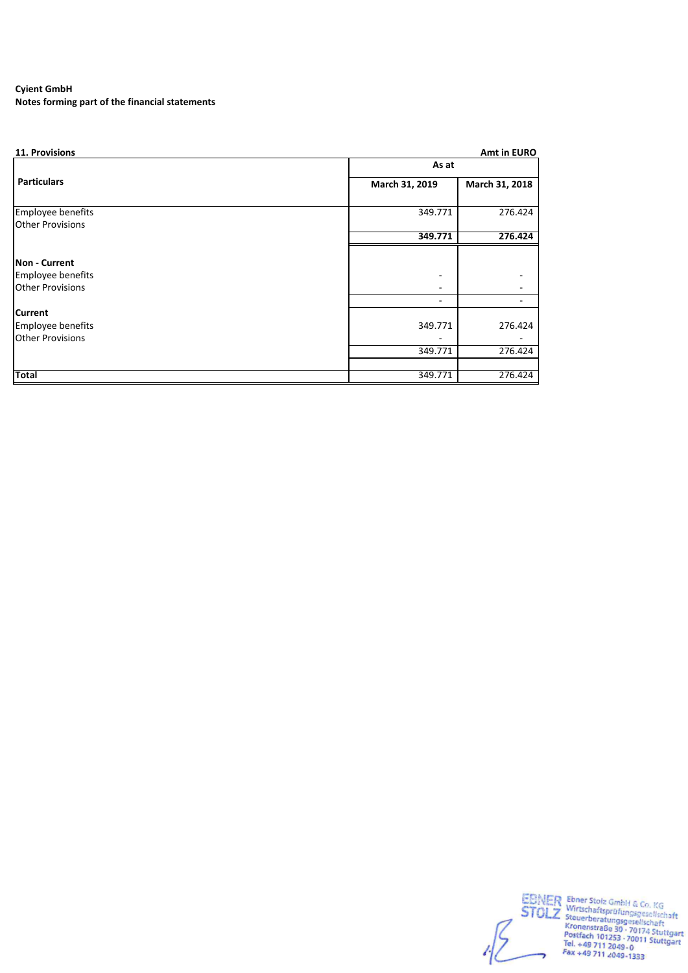**Notes forming part of the financial statements**

| 11. Provisions           |                | Amt in EURO    |  |  |
|--------------------------|----------------|----------------|--|--|
|                          | As at          |                |  |  |
| <b>Particulars</b>       | March 31, 2019 | March 31, 2018 |  |  |
| <b>Employee benefits</b> | 349.771        | 276.424        |  |  |
| <b>Other Provisions</b>  |                |                |  |  |
|                          | 349.771        | 276.424        |  |  |
|                          |                |                |  |  |
| Non - Current            |                |                |  |  |
| <b>Employee benefits</b> |                |                |  |  |
| <b>Other Provisions</b>  |                |                |  |  |
|                          |                |                |  |  |
| <b>Current</b>           |                |                |  |  |
| <b>Employee benefits</b> | 349.771        | 276.424        |  |  |
| <b>Other Provisions</b>  |                |                |  |  |
|                          | 349.771        | 276.424        |  |  |
|                          |                |                |  |  |
| <b>Total</b>             | 349.771        | 276.424        |  |  |

EBNER Ebner Stolz GmbH & Co. KG<br>
STOLZ Wirtschaftsprüfungsgesellschaft<br>
Kronenstraße 30 - 70174 Stuttgart<br>
Kronenstraße 30 - 70174 Stuttgart<br>
Postfach 101253 - 70011 Stuttgart<br>
Tel. +49 711 2049 - 0<br>
Fax +49 711 2049 -1333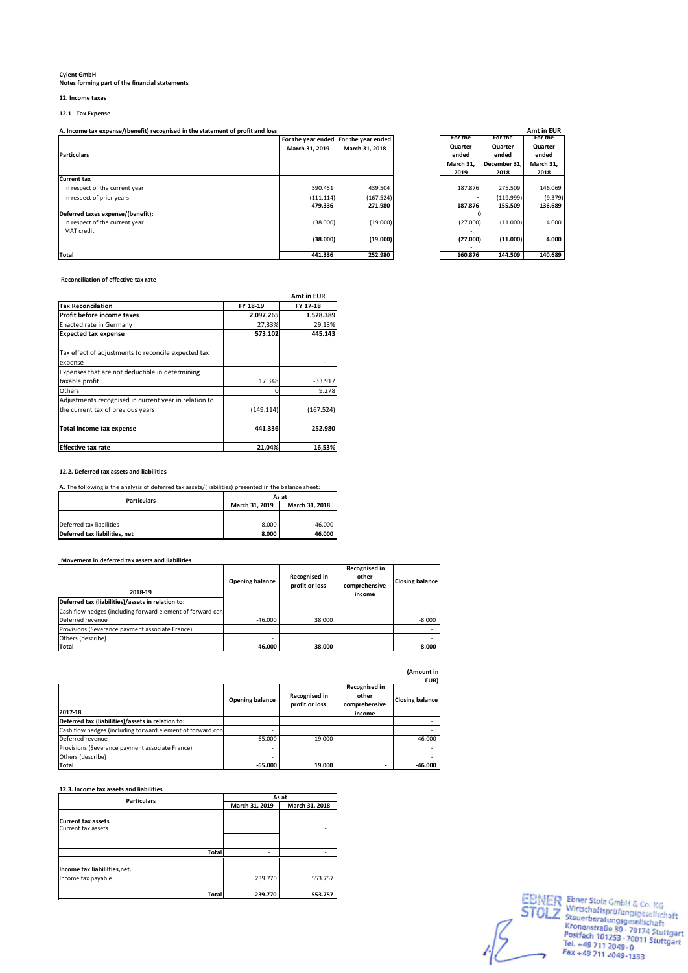## **12. Income taxes**

**12.1 - Tax Expense**

A. Income tax expense/(benefit) recognised in the statement of profit and loss

| <b>Particulars</b>                | March 31, 2019 | For the year ended For the year ended<br>March 31, 2018 | For the<br>Quarter<br>ended<br>March 31,<br>2019 | For the<br>Quarter<br>ended<br>December 31.<br>2018 | For the<br>Quarter<br>ended<br>March 31,<br>2018 |
|-----------------------------------|----------------|---------------------------------------------------------|--------------------------------------------------|-----------------------------------------------------|--------------------------------------------------|
| <b>Current tax</b>                |                |                                                         |                                                  |                                                     |                                                  |
| In respect of the current year    | 590.451        | 439.504                                                 | 187.876                                          | 275.509                                             | 146.069                                          |
| In respect of prior years         | (111.114)      | (167.524)                                               |                                                  | (119.999)                                           | (9.379)                                          |
|                                   | 479.336        | 271.980                                                 | 187.876                                          | 155.509                                             | 136.689                                          |
| Deferred taxes expense/(benefit): |                |                                                         |                                                  |                                                     |                                                  |
| In respect of the current year    | (38.000)       | (19.000)                                                | (27.000)                                         | (11.000)                                            | 4.000                                            |
| <b>MAT</b> credit                 |                |                                                         |                                                  |                                                     |                                                  |
|                                   | (38.000)       | (19.000)                                                | (27.000)                                         | (11.000)                                            | 4.000                                            |
|                                   |                |                                                         |                                                  |                                                     |                                                  |
| <b>Total</b>                      | 441.336        | 252.980                                                 | 160.876                                          | 144.509                                             | 140.689                                          |

|            |                    |           |              | Amt in EUR |
|------------|--------------------|-----------|--------------|------------|
| ar ended l | For the year ended | For the   | For the      | For the    |
| l. 2019    | March 31, 2018     | Quarter   | Quarter      | Quarter    |
|            |                    | ended     | ended        | ended      |
|            |                    | March 31, | December 31. | March 31,  |
|            |                    | 2019      | 2018         | 2018       |
|            |                    |           |              |            |
| 590.451    | 439.504            | 187.876   | 275.509      | 146.069    |
| 111.114)   | (167.524)          |           | (119.999)    | (9.379)    |
| 479.336    | 271.980            | 187.876   | 155.509      | 136.689    |
|            |                    |           |              |            |
| (38.000)   | (19.000)           | (27.000)  | (11.000)     | 4.000      |
|            |                    |           |              |            |
| (38.000)   | (19.000)           | (27.000)  | (11.000)     | 4.000      |
|            |                    |           |              |            |
| 441.336    | 252.980            | 160.876   | 144.509      | 140.689    |

 **Reconciliation of effective tax rate**

|                                                       |           | Amt in EUR |
|-------------------------------------------------------|-----------|------------|
| <b>Tax Reconcilation</b>                              | FY 18-19  | FY 17-18   |
| Profit before income taxes                            | 2.097.265 | 1.528.389  |
| Enacted rate in Germany                               | 27,33%    | 29,13%     |
| <b>Expected tax expense</b>                           | 573.102   | 445.143    |
| Tax effect of adjustments to reconcile expected tax   |           |            |
| expense                                               |           |            |
| Expenses that are not deductible in determining       |           |            |
| taxable profit                                        | 17.348    | $-33.917$  |
| Others                                                |           | 9.278      |
| Adjustments recognised in current year in relation to |           |            |
| the current tax of previous years                     | (149.114) | (167.524)  |
| Total income tax expense                              | 441.336   | 252.980    |
| <b>Effective tax rate</b>                             | 21,04%    | 16,53%     |

#### **12.2. Deferred tax assets and liabilities**

**A.** The following is the analysis of deferred tax assets/(liabilities) presented in the balance sheet:

| <b>Particulars</b>            | As at          |                |  |
|-------------------------------|----------------|----------------|--|
|                               | March 31, 2019 | March 31, 2018 |  |
|                               |                |                |  |
| Deferred tax liabilities      | 8.000          | 46.000         |  |
| Deferred tax liabilities, net | 8.000          | 46.000         |  |

### **Movement in deferred tax assets and liabilities**

| 2018-19                                                    | Opening balance | Recognised in<br>profit or loss | Recognised in<br>other<br>comprehensive<br>income | <b>Closing balance</b> |
|------------------------------------------------------------|-----------------|---------------------------------|---------------------------------------------------|------------------------|
| Deferred tax (liabilities)/assets in relation to:          |                 |                                 |                                                   |                        |
| Cash flow hedges (including forward element of forward con |                 |                                 |                                                   |                        |
| Deferred revenue                                           | $-46,000$       | 38,000                          |                                                   | $-8.000$               |
| Provisions (Severance payment associate France)            | ۰               |                                 |                                                   |                        |
| Others (describe)                                          | ۰               |                                 |                                                   |                        |
| Total                                                      | $-46.000$       | 38.000                          |                                                   | $-8.000$               |

| (Amount in |  |
|------------|--|
| EUR)       |  |

| 2017-18                                                    | <b>Opening balance</b> | Recognised in<br>profit or loss | Recognised in<br>other<br>comprehensive<br>income | <b>LURI</b><br><b>Closing balance</b> |
|------------------------------------------------------------|------------------------|---------------------------------|---------------------------------------------------|---------------------------------------|
| Deferred tax (liabilities)/assets in relation to:          |                        |                                 |                                                   |                                       |
| Cash flow hedges (including forward element of forward con |                        |                                 |                                                   |                                       |
| Deferred revenue                                           | $-65.000$              | 19.000                          |                                                   | $-46,000$                             |
| Provisions (Severance payment associate France)            |                        |                                 |                                                   |                                       |
| Others (describe)                                          |                        |                                 |                                                   |                                       |
| <b>Total</b>                                               | $-65.000$              | 19.000                          |                                                   | $-46.000$                             |

**12.3. Income tax assets and liabilities**

| <b>Particulars</b>                                  | As at          |                |  |
|-----------------------------------------------------|----------------|----------------|--|
|                                                     | March 31, 2019 | March 31, 2018 |  |
| <b>Current tax assets</b><br>Current tax assets     |                |                |  |
| <b>Total</b>                                        |                |                |  |
| Income tax liabililties, net.<br>Income tax payable | 239.770        | 553.757        |  |
| Total                                               | 239.770        | 553.757        |  |

EBNER Ebner Stolz GmbH & Co. KG<br>
STOLZ Wirtschaftsprüfungsgesellschaft<br>
Kronenstraße 30 - 70174 Stuttgart<br>
Kronenstraße 30 - 70174 Stuttgart<br>
Postfach 101253 - 70011 Stuttgart<br>
Tel. +49 711 2049-0<br>
Fax +49 711 2049-1333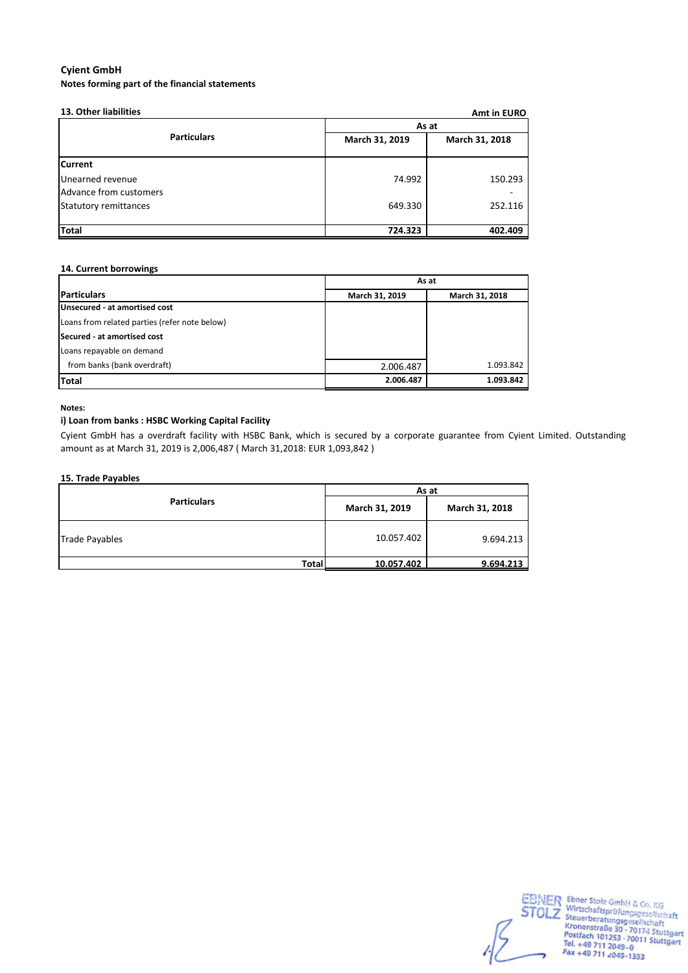| 13. Other liabilities        |                | Amt in EURO    |  |  |
|------------------------------|----------------|----------------|--|--|
|                              | As at          |                |  |  |
| <b>Particulars</b>           | March 31, 2019 | March 31, 2018 |  |  |
| <b>Current</b>               |                |                |  |  |
| Unearned revenue             | 74.992         | 150.293        |  |  |
| Advance from customers       |                |                |  |  |
| <b>Statutory remittances</b> | 649.330        | 252.116        |  |  |
|                              |                |                |  |  |
| <b>Total</b>                 | 724.323        | 402.409        |  |  |

# **14. Current borrowings**

|                                               | As at          |                |  |
|-----------------------------------------------|----------------|----------------|--|
| <b>Particulars</b>                            | March 31, 2019 | March 31, 2018 |  |
| Unsecured - at amortised cost                 |                |                |  |
| Loans from related parties (refer note below) |                |                |  |
| Secured - at amortised cost                   |                |                |  |
| Loans repayable on demand                     |                |                |  |
| from banks (bank overdraft)                   | 2.006.487      | 1.093.842      |  |
| <b>Total</b>                                  | 2.006.487      | 1.093.842      |  |

### **Notes:**

# **i) Loan from banks : HSBC Working Capital Facility**

Cyient GmbH has a overdraft facility with HSBC Bank, which is secured by a corporate guarantee from Cyient Limited. Outstanding amount as at March 31, 2019 is 2,006,487 ( March 31,2018: EUR 1,093,842 )

### **15. Trade Payables**

|                       | As at          |                |  |  |
|-----------------------|----------------|----------------|--|--|
| <b>Particulars</b>    | March 31, 2019 | March 31, 2018 |  |  |
| <b>Trade Payables</b> | 10.057.402     | 9.694.213      |  |  |
| <b>Total</b>          | 10.057.402     | 9.694.213      |  |  |

EBNER Ebner Stolz GmbH & Co. KG<br>
STOLZ Wirtschaftsprüfungsgesellschaft<br>
Kronenstraße 30 - 70174 Stuttgart<br>
Kronenstraße 30 - 70174 Stuttgart<br>
Postfach 101253 - 70011 Stuttgart<br>
Tel. +49 711 2049-0<br>
Fax +49 711 2049-1333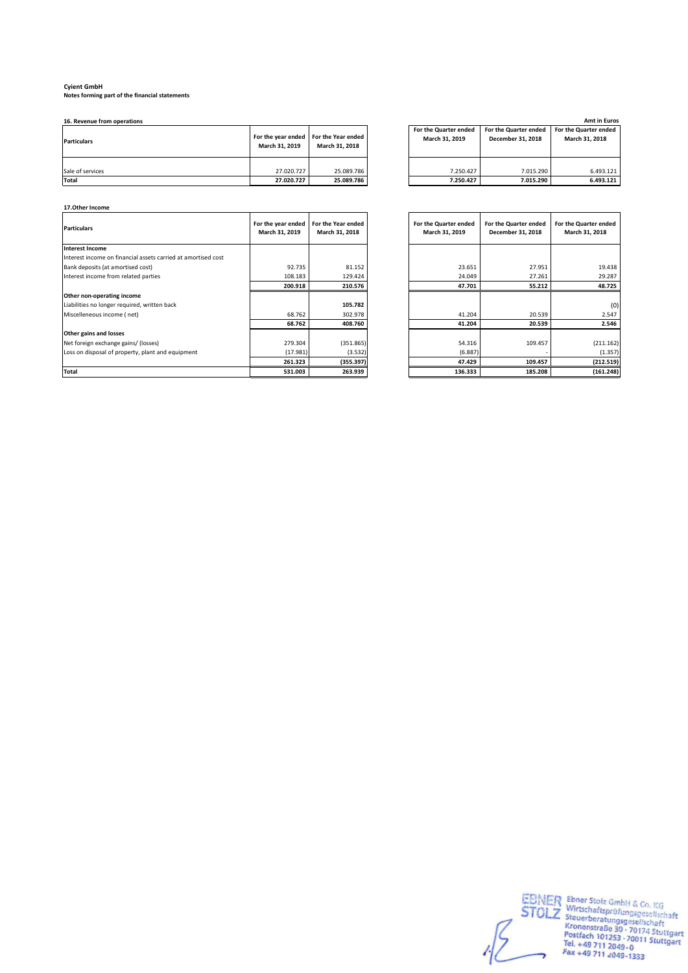**Notes forming part of the financial statements**

| <b>Particulars</b> | March 31, 2019 | For the year ended For the Year ended<br>March 31, 2018 | For the Quarter ended<br>March 31, 2019 | For the Quarter ended<br>December 31, 2018 | For the Quarter ended<br>March 31, 2018 |
|--------------------|----------------|---------------------------------------------------------|-----------------------------------------|--------------------------------------------|-----------------------------------------|
| Sale of services   | 27.020.727     | 25.089.786                                              | 7.250.427                               | 7.015.290                                  | 6.493.121                               |
| Total              | 27.020.727     | 25.089.786                                              | 7.250.427                               | 7.015.290                                  | 6.493.121                               |

| 16. Revenue from operations |                |                                                         |                                         |                                                   | <b>Amt in Euros</b>                     |
|-----------------------------|----------------|---------------------------------------------------------|-----------------------------------------|---------------------------------------------------|-----------------------------------------|
| <b>Particulars</b>          | March 31, 2019 | For the year ended For the Year ended<br>March 31, 2018 | For the Quarter ended<br>March 31, 2019 | For the Quarter ended<br><b>December 31, 2018</b> | For the Quarter ended<br>March 31, 2018 |
| Sale of services            | 27.020.727     | 25.089.786                                              | 7.250.427                               | 7.015.290                                         | 6.493.121                               |
| Total                       | 27.020.727     | <b>25 080 786</b>                                       | 7 250 427                               | <b>7.015.290.1</b>                                | G 402 121                               |

| 17. Other Income                                              |                                      |                                      |                                         |                                            |                                         |
|---------------------------------------------------------------|--------------------------------------|--------------------------------------|-----------------------------------------|--------------------------------------------|-----------------------------------------|
| <b>Particulars</b>                                            | For the year ended<br>March 31, 2019 | For the Year ended<br>March 31, 2018 | For the Quarter ended<br>March 31, 2019 | For the Quarter ended<br>December 31, 2018 | For the Quarter ended<br>March 31, 2018 |
| Interest Income                                               |                                      |                                      |                                         |                                            |                                         |
| Interest income on financial assets carried at amortised cost |                                      |                                      |                                         |                                            |                                         |
| Bank deposits (at amortised cost)                             | 92.735                               | 81.152                               | 23.651                                  | 27.951                                     | 19.438                                  |
| Interest income from related parties                          | 108.183                              | 129.424                              | 24.049                                  | 27.261                                     | 29.287                                  |
|                                                               | 200.918                              | 210.576                              | 47.701                                  | 55.212                                     | 48.725                                  |
| Other non-operating income                                    |                                      |                                      |                                         |                                            |                                         |
| Liabilities no longer required, written back                  |                                      | 105.782                              |                                         |                                            | (0)                                     |
| Miscelleneous income (net)                                    | 68.762                               | 302.978                              | 41.204                                  | 20.539                                     | 2.547                                   |
|                                                               | 68.762                               | 408.760                              | 41.204                                  | 20.539                                     | 2.546                                   |
| Other gains and losses                                        |                                      |                                      |                                         |                                            |                                         |
| Net foreign exchange gains/ (losses)                          | 279.304                              | (351.865)                            | 54.316                                  | 109.457                                    | (211.162)                               |
| Loss on disposal of property, plant and equipment             | (17.981)                             | (3.532)                              | (6.887)                                 |                                            | (1.357)                                 |
|                                                               | 261.323                              | (355.397)                            | 47.429                                  | 109.457                                    | (212.519)                               |
| <b>Total</b>                                                  | 531.003                              | 263.939                              | 136.333                                 | 185.208                                    | (161.248)                               |

| ır ended<br>, 2019 | For the Year ended<br>March 31, 2018 | For the Quarter ended<br>March 31, 2019 | For the Quarter ended<br>December 31, 2018 | For the Quarter ended<br>March 31, 2018 |
|--------------------|--------------------------------------|-----------------------------------------|--------------------------------------------|-----------------------------------------|
|                    |                                      |                                         |                                            |                                         |
| 92.735             | 81.152                               | 23.651                                  | 27.951                                     | 19.438                                  |
| 108.183            | 129.424                              | 24.049                                  | 27.261                                     | 29.287                                  |
| 200.918            | 210.576                              | 47.701                                  | 55.212                                     | 48.725                                  |
|                    |                                      |                                         |                                            |                                         |
|                    | 105.782                              |                                         |                                            | (0)                                     |
| 68.762             | 302.978                              | 41.204                                  | 20.539                                     | 2.547                                   |
| 68.762             | 408.760                              | 41.204                                  | 20.539                                     | 2.546                                   |
|                    |                                      |                                         |                                            |                                         |
| 279.304            | (351.865)                            | 54.316                                  | 109.457                                    | (211.162)                               |
| (17.981)           | (3.532)                              | (6.887)                                 |                                            | (1.357)                                 |
| 261.323            | (355.397)                            | 47.429                                  | 109.457                                    | (212.519)                               |
| 531.003            | 263.939                              | 136.333                                 | 185.208                                    | (161.248)                               |

EBNER Ebner Stolz GmbH & Co. KG<br>
STOLZ Wirtschaftsprüfungsgesellschaft<br>
Kronenstraße 30 - 70174 Stuttgart<br>
Kronenstraße 30 - 70174 Stuttgart<br>
Postfach 101253 - 70011 Stuttgart<br>
Tel. +49 711 2049 - 0<br>
Fax +49 711 2049 -1333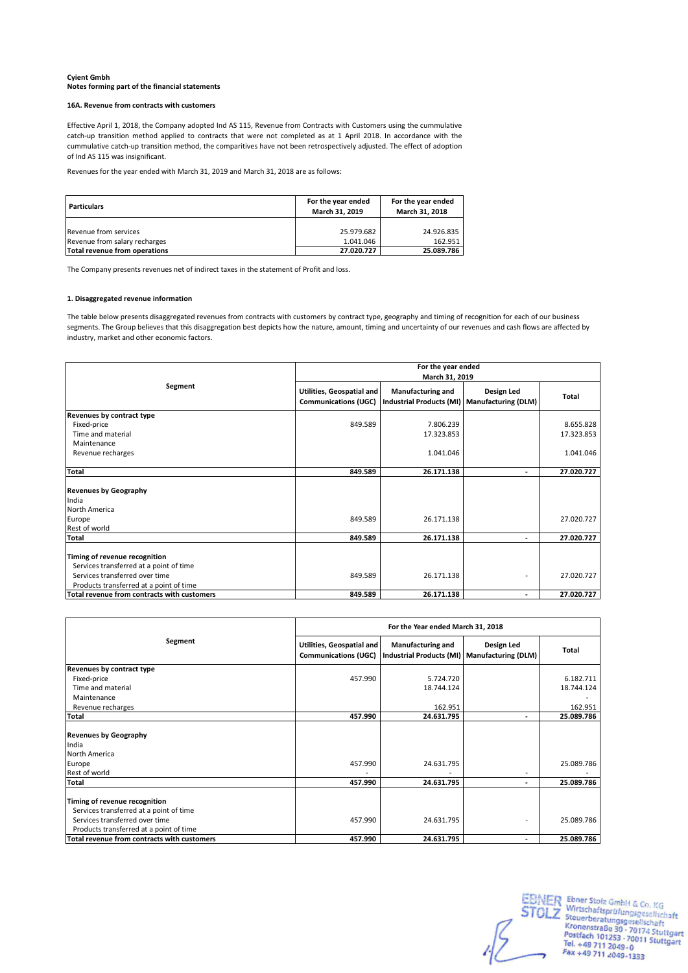#### **16A. Revenue from contracts with customers**

Effective April 1, 2018, the Company adopted Ind AS 115, Revenue from Contracts with Customers using the cummulative catch-up transition method applied to contracts that were not completed as at 1 April 2018. In accordance with the cummulative catch-up transition method, the comparitives have not been retrospectively adjusted. The effect of adoption of Ind AS 115 was insignificant.

Revenues for the year ended with March 31, 2019 and March 31, 2018 are as follows:

| <b>Particulars</b>                                     | For the year ended<br>March 31, 2019 | For the year ended<br>March 31, 2018 |  |
|--------------------------------------------------------|--------------------------------------|--------------------------------------|--|
| Revenue from services<br>Revenue from salary recharges | 25.979.682<br>1.041.046              | 24.926.835<br>162.951                |  |
| Total revenue from operations                          | 27.020.727                           | 25.089.786                           |  |

The Company presents revenues net of indirect taxes in the statement of Profit and loss.

### **1. Disaggregated revenue information**

The table below presents disaggregated revenues from contracts with customers by contract type, geography and timing of recognition for each of our business segments. The Group believes that this disaggregation best depicts how the nature, amount, timing and uncertainty of our revenues and cash flows are affected by industry, market and other economic factors.

|                                                                                                                                                       |                                                                 | For the year ended<br>March 31, 2019                                     |            |                         |  |  |
|-------------------------------------------------------------------------------------------------------------------------------------------------------|-----------------------------------------------------------------|--------------------------------------------------------------------------|------------|-------------------------|--|--|
| Segment                                                                                                                                               | <b>Utilities, Geospatial and</b><br><b>Communications (UGC)</b> | <b>Manufacturing and</b><br>Industrial Products (MI) Manufacturing (DLM) | Design Led | <b>Total</b>            |  |  |
| Revenues by contract type<br>Fixed-price<br>Time and material<br>Maintenance                                                                          | 849.589                                                         | 7.806.239<br>17.323.853                                                  |            | 8.655.828<br>17.323.853 |  |  |
| Revenue recharges                                                                                                                                     |                                                                 | 1.041.046                                                                |            | 1.041.046               |  |  |
| <b>Total</b>                                                                                                                                          | 849.589                                                         | 26.171.138                                                               | ٠          | 27.020.727              |  |  |
| <b>Revenues by Geography</b><br>India<br>North America<br>Europe                                                                                      | 849.589                                                         | 26.171.138                                                               |            | 27.020.727              |  |  |
| Rest of world<br><b>Total</b>                                                                                                                         | 849.589                                                         | 26.171.138                                                               | ٠          | 27.020.727              |  |  |
| Timing of revenue recognition<br>Services transferred at a point of time<br>Services transferred over time<br>Products transferred at a point of time | 849.589                                                         | 26.171.138                                                               |            | 27.020.727              |  |  |
| Total revenue from contracts with customers                                                                                                           | 849.589                                                         | 26.171.138                                                               | ٠          | 27.020.727              |  |  |

|                                                                                                                                                       | For the Year ended March 31, 2018                 |                                                                          |                          |            |  |
|-------------------------------------------------------------------------------------------------------------------------------------------------------|---------------------------------------------------|--------------------------------------------------------------------------|--------------------------|------------|--|
| Segment                                                                                                                                               | Utilities, Geospatial and<br>Communications (UGC) | <b>Manufacturing and</b><br>Industrial Products (MI) Manufacturing (DLM) | Design Led               | Total      |  |
| Revenues by contract type                                                                                                                             |                                                   |                                                                          |                          |            |  |
| Fixed-price                                                                                                                                           | 457.990                                           | 5.724.720                                                                |                          | 6.182.711  |  |
| Time and material                                                                                                                                     |                                                   | 18.744.124                                                               |                          | 18.744.124 |  |
| Maintenance                                                                                                                                           |                                                   |                                                                          |                          |            |  |
| Revenue recharges                                                                                                                                     |                                                   | 162.951                                                                  |                          | 162.951    |  |
| <b>Total</b>                                                                                                                                          | 457.990                                           | 24.631.795                                                               |                          | 25.089.786 |  |
| <b>Revenues by Geography</b><br>India                                                                                                                 |                                                   |                                                                          |                          |            |  |
| North America                                                                                                                                         |                                                   |                                                                          |                          |            |  |
| Europe<br>Rest of world                                                                                                                               | 457.990                                           | 24.631.795                                                               | $\overline{\phantom{a}}$ | 25.089.786 |  |
| Total                                                                                                                                                 | 457.990                                           | 24.631.795                                                               | $\overline{\phantom{a}}$ | 25.089.786 |  |
| Timing of revenue recognition<br>Services transferred at a point of time<br>Services transferred over time<br>Products transferred at a point of time | 457.990                                           | 24.631.795                                                               |                          | 25.089.786 |  |
| Total revenue from contracts with customers                                                                                                           | 457.990                                           | 24.631.795                                                               | $\overline{\phantom{a}}$ | 25.089.786 |  |

EBNER Ebner Stolz GmbH & Co. KG<br>
STOLZ Steuerberatungsgesellschaft<br>
Kronenstraße 30 · 70174 Stuttgart<br>
Rostfach 101253 · 70071 Stuttgart<br>
Tel. +49 711 2049-0<br>
Fax +49 711 2049-1333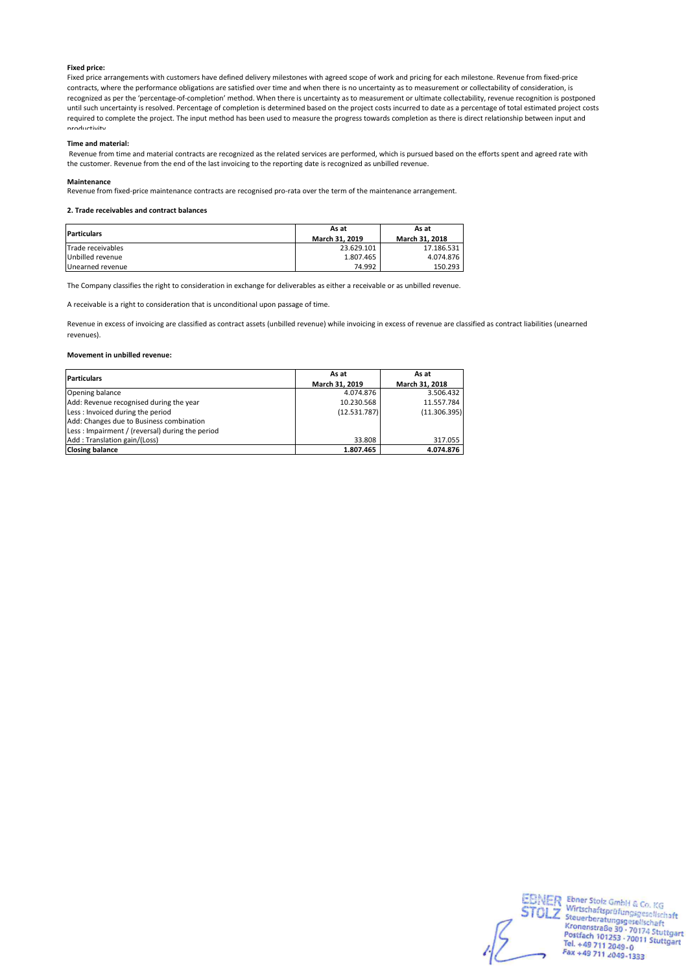### **Fixed price:**

Fixed price arrangements with customers have defined delivery milestones with agreed scope of work and pricing for each milestone. Revenue from fixed-price contracts, where the performance obligations are satisfied over time and when there is no uncertainty as to measurement or collectability of consideration, is recognized as per the 'percentage-of-completion' method. When there is uncertainty as to measurement or ultimate collectability, revenue recognition is postponed until such uncertainty is resolved. Percentage of completion is determined based on the project costs incurred to date as a percentage of total estimated project costs required to complete the project. The input method has been used to measure the progress towards completion as there is direct relationship between input and productivity.

#### **Time and material:**

 Revenue from time and material contracts are recognized as the related services are performed, which is pursued based on the efforts spent and agreed rate with the customer. Revenue from the end of the last invoicing to the reporting date is recognized as unbilled revenue.

#### **Maintenance**

Revenue from fixed-price maintenance contracts are recognised pro-rata over the term of the maintenance arrangement.

#### **2. Trade receivables and contract balances**

| <b>Particulars</b> | As at<br>March 31, 2019 | As at<br>March 31, 2018 |
|--------------------|-------------------------|-------------------------|
| Trade receivables  | 23.629.101              | 17.186.531              |
| Unbilled revenue   | 1.807.465               | 4.074.876               |
| Unearned revenue   | 74.992                  | 150.293                 |

The Company classifies the right to consideration in exchange for deliverables as either a receivable or as unbilled revenue.

A receivable is a right to consideration that is unconditional upon passage of time.

Revenue in excess of invoicing are classified as contract assets (unbilled revenue) while invoicing in excess of revenue are classified as contract liabilities (unearned revenues).

#### **Movement in unbilled revenue:**

| <b>Particulars</b>                              | As at          | As at          |  |
|-------------------------------------------------|----------------|----------------|--|
|                                                 | March 31, 2019 | March 31, 2018 |  |
| Opening balance                                 | 4.074.876      | 3.506.432      |  |
| Add: Revenue recognised during the year         | 10.230.568     | 11.557.784     |  |
| Less: Invoiced during the period                | (12.531.787)   | (11.306.395)   |  |
| Add: Changes due to Business combination        |                |                |  |
| Less: Impairment / (reversal) during the period |                |                |  |
| Add: Translation gain/(Loss)                    | 33.808         | 317.055        |  |
| <b>Closing balance</b>                          | 1.807.465      | 4.074.876      |  |

EBNER Ebner Stolz GmbH & Co. KG<br>
STOLZ Steuerberatungsgesellschaft<br>
Kronenstraße 30 - 70174 Stuttgart<br>
Rostfach 101253 - 70071 Stuttgart<br>
Tel. +49 711 2049-0<br>
Fax +49 711 2049-1333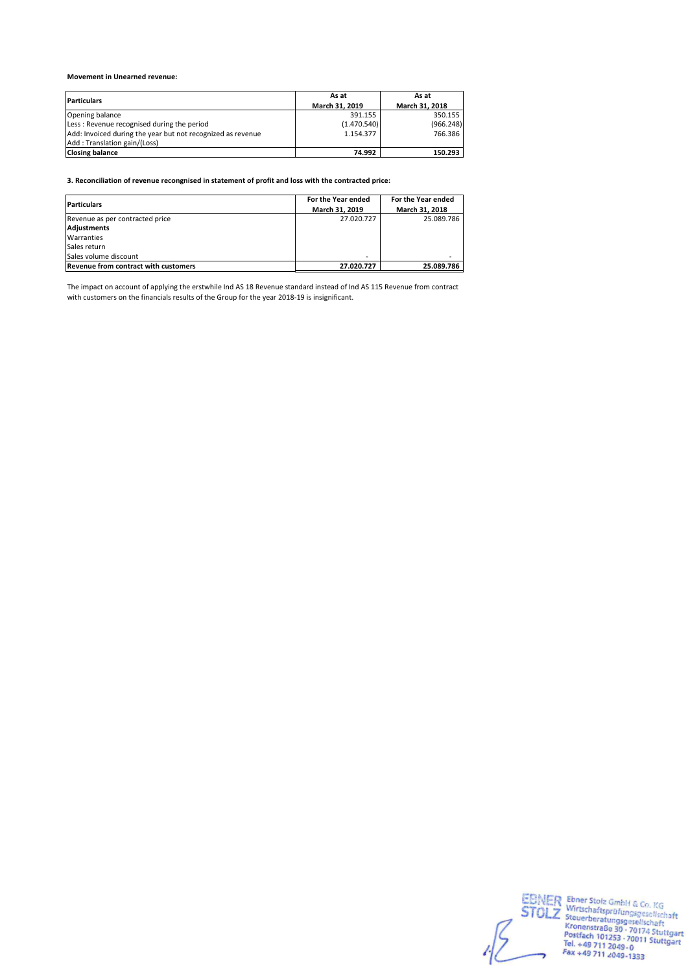### **Movement in Unearned revenue:**

| <b>Particulars</b>                                          | As at          | As at          |  |
|-------------------------------------------------------------|----------------|----------------|--|
|                                                             | March 31, 2019 | March 31, 2018 |  |
| Opening balance                                             | 391.155        | 350.155        |  |
| Less: Revenue recognised during the period                  | (1.470.540)    | (966.248)      |  |
| Add: Invoiced during the year but not recognized as revenue | 1.154.377      | 766.386        |  |
| Add: Translation gain/(Loss)                                |                |                |  |
| <b>Closing balance</b>                                      | 74.992         | 150.293        |  |

**3. Reconciliation of revenue recongnised in statement of profit and loss with the contracted price:**

| <b>Particulars</b>                          | For the Year ended | For the Year ended |
|---------------------------------------------|--------------------|--------------------|
|                                             | March 31, 2019     | March 31, 2018     |
| Revenue as per contracted price             | 27.020.727         | 25.089.786         |
| Adjustments                                 |                    |                    |
| Warranties                                  |                    |                    |
| Sales return                                |                    |                    |
| Sales volume discount                       | -                  |                    |
| <b>Revenue from contract with customers</b> | 27.020.727         | 25.089.786         |

The impact on account of applying the erstwhile Ind AS 18 Revenue standard instead of Ind AS 115 Revenue from contract with customers on the financials results of the Group for the year 2018-19 is insignificant.

EBNER Ebner Stolz GmbH & Co. KG<br>
STOLZ Wirtschaftsprüfungsgesellschaft<br>
Kronenstraße 30 - 70174 Stuttgart<br>
Kronenstraße 30 - 70174 Stuttgart<br>
Postfach 101253 - 70011 Stuttgart<br>
Tel. +49 711 2049-0<br>
Fax +49 711 2049-1333  $\sum$  stole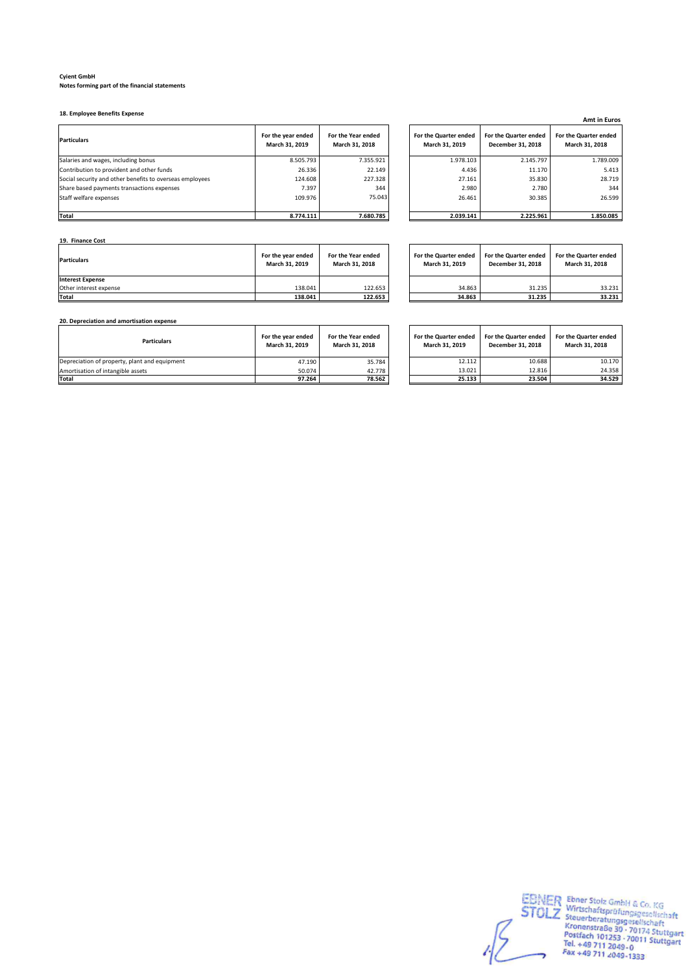**18. Employee Benefits Expense**

| <b>Particulars</b>                                       | For the year ended<br>March 31, 2019 | For the Year ended<br>March 31, 2018 | For the Quarter ended<br>March 31, 2019 | For the Quarter ended<br>December 31, 2018 | For the Quarter ended<br>March 31, 2018 |
|----------------------------------------------------------|--------------------------------------|--------------------------------------|-----------------------------------------|--------------------------------------------|-----------------------------------------|
| Salaries and wages, including bonus                      | 8.505.793                            | 7.355.921                            | 1.978.103                               | 2.145.797                                  | 1.789.009                               |
| Contribution to provident and other funds                | 26.336                               | 22.149                               | 4.436                                   | 11.170                                     | 5.413                                   |
| Social security and other benefits to overseas employees | 124.608                              | 227.328                              | 27.161                                  | 35.830                                     | 28.719                                  |
| Share based payments transactions expenses               | 7.397                                | 344                                  | 2.980                                   | 2.780                                      | 344                                     |
| Staff welfare expenses                                   | 109.976                              | 75.043                               | 26.461                                  | 30.385                                     | 26.599                                  |
| <b>Total</b>                                             | 8.774.111                            | 7.680.785                            | 2.039.141                               | 2.225.961                                  | 1.850.085                               |

| <b>Amt in Euros</b>                     |                                            |                                         |  |  |
|-----------------------------------------|--------------------------------------------|-----------------------------------------|--|--|
| For the Quarter ended<br>March 31, 2019 | For the Quarter ended<br>December 31, 2018 | For the Quarter ended<br>March 31, 2018 |  |  |
| 1.978.103                               | 2.145.797                                  | 1.789.009                               |  |  |
| 4.436                                   | 11.170                                     | 5.413                                   |  |  |
| 27.161                                  | 35.830                                     | 28.719                                  |  |  |
| 2.980                                   | 2.780                                      | 344                                     |  |  |
| 26.461                                  | 30.385                                     | 26.599                                  |  |  |
|                                         |                                            |                                         |  |  |
| 2.039.141                               | 2.225.961                                  | 1.850.085                               |  |  |

**19. Finance Cost**

| <b>Particulars</b>      | For the year ended<br>March 31, 2019 | For the Year ended<br>March 31, 2018 | For the Quarter ended<br>March 31, 2019 | For the Quarter ended<br>December 31, 2018 | For the Quarter ended<br>March 31, 2018 |
|-------------------------|--------------------------------------|--------------------------------------|-----------------------------------------|--------------------------------------------|-----------------------------------------|
| <b>Interest Expense</b> |                                      |                                      |                                         |                                            |                                         |
| Other interest expense  | 138.041                              | 122.653                              | 34.863                                  | 31.235                                     | 33.231                                  |
| <b>Total</b>            | 138.041                              | 122.653                              | 34.863                                  | 31.235                                     | 33.231                                  |

| For the Quarter ended<br>March 31, 2019 | For the Quarter ended<br>December 31, 2018 | For the Quarter ended<br>March 31, 2018 |
|-----------------------------------------|--------------------------------------------|-----------------------------------------|
| 34.863                                  | 31.235                                     | 33.231                                  |
| 34.863                                  | 31.235                                     | 33.231                                  |

**20. Depreciation and amortisation expense**

| <b>Particulars</b>                            | For the vear ended<br>March 31, 2019 | For the Year ended<br>March 31, 2018 | For the Quarter ended<br>March 31, 2019 | For the Quarter ended<br>December 31, 2018 | For the Quarter ended<br>March 31, 2018 |
|-----------------------------------------------|--------------------------------------|--------------------------------------|-----------------------------------------|--------------------------------------------|-----------------------------------------|
| Depreciation of property, plant and equipment | 47.190                               | 35.784                               | 12.112                                  | 10.688                                     | 10.170                                  |
| Amortisation of intangible assets             | 50.074                               | 42.778                               | 13.021                                  | 12.816                                     | 24.358                                  |
| <b>Total</b>                                  | 97.264                               | 78.562                               | 25.133                                  | 23.504                                     | 34.529                                  |

| For the Quarter ended<br>March 31, 2019 | For the Quarter ended<br>December 31, 2018 | For the Quarter ended<br>March 31, 2018 |
|-----------------------------------------|--------------------------------------------|-----------------------------------------|
| 12.112                                  | 10.688                                     | 10.170                                  |
| 13.021                                  | 12.816                                     | 24.358                                  |
| 25.133                                  | 23.504                                     | 34.529                                  |

EBNER Ebner Stolz GmbH & Co. KG<br>
STOLZ Wirtschaftsprüfungsgesellschaft<br>
Kronenstraße 30 - 70174 Stuttgart<br>
Kronenstraße 30 - 70174 Stuttgart<br>
Postfach 101253 - 70011 Stuttgart<br>
Tel. +49 711 2049 - 0<br>
Fax +49 711 2049 -1333